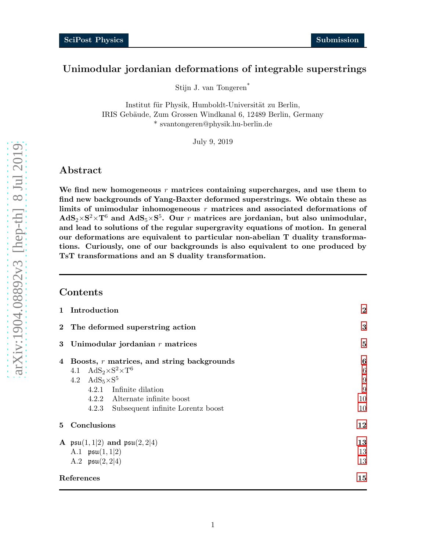## Unimodular jordanian deformations of integrable superstrings

Stijn J. van Tongeren \*

Institut für Physik, Humboldt-Universität zu Berlin, IRIS Gebäude, Zum Grossen Windkanal 6, 12489 Berlin, Germany \* svantongeren@physik.hu-berlin.de

July 9, 2019

## Abstract

We find new homogeneous  $r$  matrices containing supercharges, and use them to find new backgrounds of Yang-Baxter deformed superstrings. We obtain these as limits of unimodular inhomogeneous  $r$  matrices and associated deformations of  $\mathrm{AdS}_2 \times \mathrm{S}^2 \times \mathrm{T}^6$  and  $\mathrm{AdS}_5 \times \mathrm{S}^5$ . Our  $r$  matrices are jordanian, but also unimodular, and lead to solutions of the regular supergravity equations of motion. In general our deformations are equivalent to particular non-abelian T duality transformations. Curiously, one of our backgrounds is also equivalent to one produced by TsT transformations and an S duality transformation.

### Contents

| $\mathbf{1}$   | Introduction                                          | $\boldsymbol{2}$ |
|----------------|-------------------------------------------------------|------------------|
|                | 2 The deformed superstring action                     | 3                |
| 3              | Unimodular jordanian $r$ matrices                     | 5                |
| $\overline{4}$ | Boosts, $r$ matrices, and string backgrounds          | 6                |
|                | 4.1 AdS <sub>2</sub> ×S <sup>2</sup> ×T <sup>6</sup>  | $6\phantom{.}6$  |
|                | 4.2 $AdS_5 \times S^5$                                | 9                |
|                | 4.2.1 Infinite dilation                               | 9                |
|                | 4.2.2 Alternate infinite boost                        | 10               |
|                | 4.2.3 Subsequent infinite Lorentz boost               | 10               |
| 5              | Conclusions                                           | 12               |
|                | A $\mathfrak{psu}(1,1 2)$ and $\mathfrak{psu}(2,2 4)$ | 13               |
|                | A.1 $\mathfrak{psu}(1,1 2)$                           | 13               |
|                | A.2 $\mathfrak{psu}(2,2 4)$                           | 13               |
| References     |                                                       | 15               |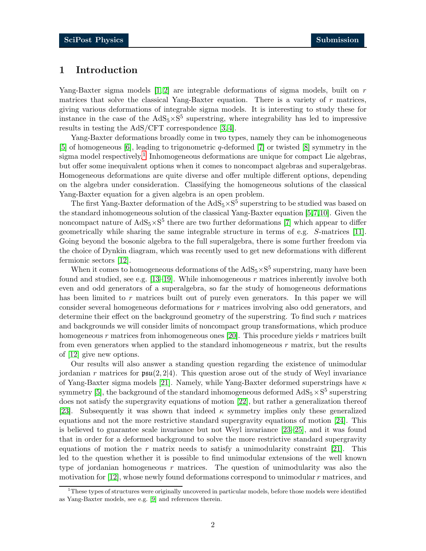## <span id="page-1-0"></span>1 Introduction

Yang-Baxter sigma models  $[1, 2]$  $[1, 2]$  are integrable deformations of sigma models, built on r matrices that solve the classical Yang-Baxter equation. There is a variety of  $r$  matrices, giving various deformations of integrable sigma models. It is interesting to study these for instance in the case of the  $AdS_5 \times S^5$  superstring, where integrability has led to impressive results in testing the AdS/CFT correspondence [\[3,](#page-14-2) [4\]](#page-14-3).

Yang-Baxter deformations broadly come in two types, namely they can be inhomogeneous [\[5\]](#page-14-4) of homogeneous [\[6\]](#page-14-5), leading to trigonometric q-deformed [\[7\]](#page-14-6) or twisted [\[8\]](#page-14-7) symmetry in the sigma model respectively.<sup>[1](#page-1-1)</sup> Inhomogeneous deformations are unique for compact Lie algebras, but offer some inequivalent options when it comes to noncompact algebras and superalgebras. Homogeneous deformations are quite diverse and offer multiple different options, depending on the algebra under consideration. Classifying the homogeneous solutions of the classical Yang-Baxter equation for a given algebra is an open problem.

The first Yang-Baxter deformation of the  $AdS_5 \times S^5$  superstring to be studied was based on the standard inhomogeneous solution of the classical Yang-Baxter equation [\[5,](#page-14-4)[7,](#page-14-6)[10\]](#page-14-8). Given the noncompact nature of  $AdS_5 \times S^5$  there are two further deformations [\[7\]](#page-14-6) which appear to differ geometrically while sharing the same integrable structure in terms of e.g. S-matrices [\[11\]](#page-14-9). Going beyond the bosonic algebra to the full superalgebra, there is some further freedom via the choice of Dynkin diagram, which was recently used to get new deformations with different fermionic sectors [\[12\]](#page-15-0).

When it comes to homogeneous deformations of the  $AdS_5 \times S^5$  superstring, many have been found and studied, see e.g.  $[13-19]$ . While inhomogeneous r matrices inherently involve both even and odd generators of a superalgebra, so far the study of homogeneous deformations has been limited to r matrices built out of purely even generators. In this paper we will consider several homogeneous deformations for r matrices involving also odd generators, and determine their effect on the background geometry of the superstring. To find such  $r$  matrices and backgrounds we will consider limits of noncompact group transformations, which produce homogeneous r matrices from inhomogeneous ones [\[20\]](#page-15-3). This procedure yields r matrices built from even generators when applied to the standard inhomogeneous  $r$  matrix, but the results of [\[12\]](#page-15-0) give new options.

Our results will also answer a standing question regarding the existence of unimodular jordanian r matrices for  $\mathfrak{psu}(2, 2|4)$ . This question arose out of the study of Weyl invariance of Yang-Baxter sigma models [\[21\]](#page-15-4). Namely, while Yang-Baxter deformed superstrings have  $\kappa$ symmetry [\[5\]](#page-14-4), the background of the standard inhomogeneous deformed  $\mathrm{AdS}_5 \times \mathrm{S}^5$  superstring does not satisfy the supergravity equations of motion [\[22\]](#page-15-5), but rather a generalization thereof [\[23\]](#page-15-6). Subsequently it was shown that indeed  $\kappa$  symmetry implies only these generalized equations and not the more restrictive standard supergravity equations of motion [\[24\]](#page-15-7). This is believed to guarantee scale invariance but not Weyl invariance [\[23–](#page-15-6)[25\]](#page-15-8), and it was found that in order for a deformed background to solve the more restrictive standard supergravity equations of motion the r matrix needs to satisfy a unimodularity constraint [\[21\]](#page-15-4). This led to the question whether it is possible to find unimodular extensions of the well known type of jordanian homogeneous  $r$  matrices. The question of unimodularity was also the motivation for  $[12]$ , whose newly found deformations correspond to unimodular r matrices, and

<span id="page-1-1"></span> $1$ These types of structures were originally uncovered in particular models, before those models were identified as Yang-Baxter models, see e.g. [\[9\]](#page-14-10) and references therein.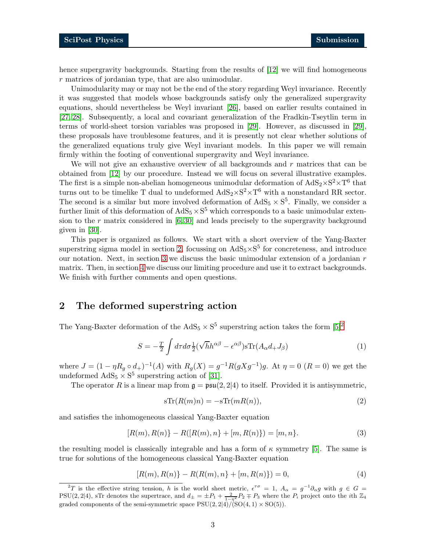hence supergravity backgrounds. Starting from the results of [\[12\]](#page-15-0) we will find homogeneous r matrices of jordanian type, that are also unimodular.

Unimodularity may or may not be the end of the story regarding Weyl invariance. Recently it was suggested that models whose backgrounds satisfy only the generalized supergravity equations, should nevertheless be Weyl invariant [\[26\]](#page-15-9), based on earlier results contained in [\[27,](#page-15-10) [28\]](#page-16-0). Subsequently, a local and covariant generalization of the Fradkin-Tseytlin term in terms of world-sheet torsion variables was proposed in [\[29\]](#page-16-1). However, as discussed in [\[29\]](#page-16-1), these proposals have troublesome features, and it is presently not clear whether solutions of the generalized equations truly give Weyl invariant models. In this paper we will remain firmly within the footing of conventional supergravity and Weyl invariance.

We will not give an exhaustive overview of all backgrounds and  $r$  matrices that can be obtained from [\[12\]](#page-15-0) by our procedure. Instead we will focus on several illustrative examples. The first is a simple non-abelian homogeneous unimodular deformation of  $AdS_2 \times S^2 \times T^6$  that turns out to be timelike T dual to undeformed  $AdS_2 \times S^2 \times T^6$  with a nonstandard RR sector. The second is a similar but more involved deformation of  $AdS_5 \times S^5$ . Finally, we consider a further limit of this deformation of  $AdS_5 \times S^5$  which corresponds to a basic unimodular extension to the r matrix considered in  $[6, 30]$  $[6, 30]$  and leads precisely to the supergravity background given in [\[30\]](#page-16-2).

This paper is organized as follows. We start with a short overview of the Yang-Baxter superstring sigma model in section [2,](#page-2-0) focussing on  $AdS_5 \times S^5$  for concreteness, and introduce our notation. Next, in section [3](#page-4-0) we discuss the basic unimodular extension of a jordanian  $r$ matrix. Then, in section [4](#page-5-0) we discuss our limiting procedure and use it to extract backgrounds. We finish with further comments and open questions.

## <span id="page-2-0"></span>2 The deformed superstring action

The Yang-Baxter deformation of the  $AdS_5 \times S^5$  superstring action takes the form  $[5]^2$  $[5]^2$ 

$$
S = -\frac{T}{2} \int d\tau d\sigma \frac{1}{2} (\sqrt{h}h^{\alpha\beta} - \epsilon^{\alpha\beta}) s \text{Tr}(A_{\alpha}d_{+}J_{\beta})
$$
(1)

where  $J = (1 - \eta R_g \circ d_+)^{-1}(A)$  with  $R_g(X) = g^{-1}R(gXg^{-1})g$ . At  $\eta = 0$   $(R = 0)$  we get the undeformed  $AdS_5 \times S^5$  superstring action of [\[31\]](#page-16-3).

The operator R is a linear map from  $\mathfrak{g} = \mathfrak{psu}(2, 2|4)$  to itself. Provided it is antisymmetric,

<span id="page-2-2"></span>
$$
sTr(R(m)n) = -sTr(mR(n)),
$$
\n(2)

and satisfies the inhomogeneous classical Yang-Baxter equation

$$
[R(m), R(n)] - R([R(m), n] + [m, R(n)]) = [m, n].
$$
\n(3)

the resulting model is classically integrable and has a form of  $\kappa$  symmetry [\[5\]](#page-14-4). The same is true for solutions of the homogeneous classical Yang-Baxter equation

$$
[R(m), R(n)] - R(R(m), n] + [m, R(n)] = 0,
$$
\n(4)

<span id="page-2-1"></span><sup>&</sup>lt;sup>2</sup>T is the effective string tension, h is the world sheet metric,  $\epsilon^{\tau\sigma} = 1$ ,  $A_{\alpha} = g^{-1}\partial_{\alpha}g$  with  $g \in G =$ PSU(2, 2|4), sTr denotes the supertrace, and  $d_{\pm} = \pm P_1 + \frac{2}{1-\eta^2}P_2 \mp P_3$  where the  $P_i$  project onto the *i*th  $\mathbb{Z}_4$ graded components of the semi-symmetric space  $PSU(2, 2|4)/(SO(4, 1) \times SO(5)).$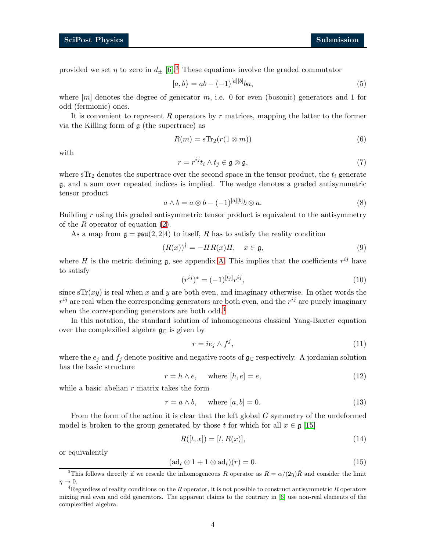provided we set  $\eta$  to zero in  $d_{\pm}$  [\[6\]](#page-14-5).<sup>[3](#page-3-0)</sup> These equations involve the graded commutator

$$
[a,b] = ab - (-1)^{[a][b]}ba,
$$
\n(5)

where  $[m]$  denotes the degree of generator m, i.e. 0 for even (bosonic) generators and 1 for odd (fermionic) ones.

It is convenient to represent R operators by r matrices, mapping the latter to the former via the Killing form of  $\mathfrak g$  (the supertrace) as

$$
R(m) = s \text{Tr}_2(r(1 \otimes m))
$$
\n(6)

with

$$
r = r^{ij}t_i \wedge t_j \in \mathfrak{g} \otimes \mathfrak{g},\tag{7}
$$

where  $STr<sub>2</sub>$  denotes the supertrace over the second space in the tensor product, the  $t<sub>i</sub>$  generate g, and a sum over repeated indices is implied. The wedge denotes a graded antisymmetric tensor product

$$
a \wedge b = a \otimes b - (-1)^{[a][b]} b \otimes a. \tag{8}
$$

Building r using this graded antisymmetric tensor product is equivalent to the antisymmetry of the  $R$  operator of equation  $(2)$ .

As a map from  $\mathfrak{g} = \mathfrak{psu}(2, 2|4)$  to itself, R has to satisfy the reality condition

$$
(R(x))^\dagger = -HR(x)H, \quad x \in \mathfrak{g},\tag{9}
$$

where H is the metric defining  $\mathfrak{g}$ , see appendix [A.](#page-12-0) This implies that the coefficients  $r^{ij}$  have to satisfy

$$
(r^{ij})^* = (-1)^{[t_j]} r^{ij}, \tag{10}
$$

since  $sTr(xy)$  is real when x and y are both even, and imaginary otherwise. In other words the  $r^{ij}$  are real when the corresponding generators are both even, and the  $r^{ij}$  are purely imaginary when the corresponding generators are both odd.<sup>[4](#page-3-1)</sup>

In this notation, the standard solution of inhomogeneous classical Yang-Baxter equation over the complexified algebra  $\mathfrak{g}_{\mathbb{C}}$  is given by

$$
r = ie_j \wedge f^j,\tag{11}
$$

where the  $e_i$  and  $f_i$  denote positive and negative roots of  $\mathfrak{g}_\mathbb{C}$  respectively. A jordanian solution has the basic structure

<span id="page-3-2"></span>
$$
r = h \wedge e, \quad \text{where } [h, e] = e,
$$
\n
$$
(12)
$$

while a basic abelian  $r$  matrix takes the form

$$
r = a \wedge b, \quad \text{where } [a, b] = 0. \tag{13}
$$

From the form of the action it is clear that the left global G symmetry of the undeformed model is broken to the group generated by those t for which for all  $x \in \mathfrak{g}$  [\[15\]](#page-15-11)

$$
R([t, x]) = [t, R(x)],
$$
\n(14)

or equivalently

$$
(\mathrm{ad}_t \otimes 1 + 1 \otimes \mathrm{ad}_t)(r) = 0. \tag{15}
$$

<span id="page-3-0"></span><sup>&</sup>lt;sup>3</sup>This follows directly if we rescale the inhomogeneous R operator as  $R = \alpha/(2\eta)\hat{R}$  and consider the limit  $\eta \rightarrow 0.$ 

<span id="page-3-1"></span><sup>&</sup>lt;sup>4</sup>Regardless of reality conditions on the R operator, it is not possible to construct antisymmetric R operators mixing real even and odd generators. The apparent claims to the contrary in [\[6\]](#page-14-5) use non-real elements of the complexified algebra.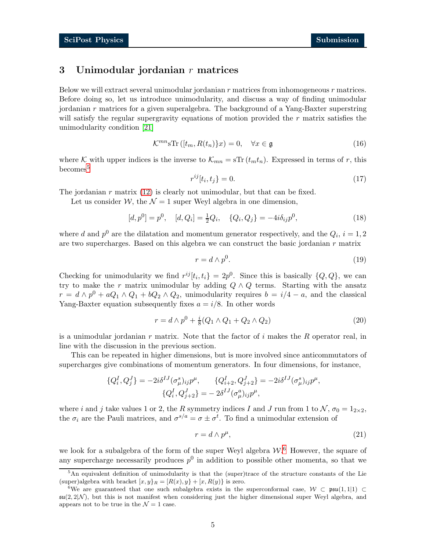## <span id="page-4-0"></span>3 Unimodular jordanian  $r$  matrices

Below we will extract several unimodular jordanian  $r$  matrices from inhomogeneous  $r$  matrices. Before doing so, let us introduce unimodularity, and discuss a way of finding unimodular jordanian r matrices for a given superalgebra. The background of a Yang-Baxter superstring will satisfy the regular supergravity equations of motion provided the  $r$  matrix satisfies the unimodularity condition [\[21\]](#page-15-4)

$$
\mathcal{K}^{mn} \mathbf{s} \text{Tr} \left( [t_m, R(t_n)] x \right) = 0, \quad \forall x \in \mathfrak{g} \tag{16}
$$

where K with upper indices is the inverse to  $\mathcal{K}_{mn} = s \text{Tr} (t_m t_n)$ . Expressed in terms of r, this  $becomes<sup>5</sup>$  $becomes<sup>5</sup>$  $becomes<sup>5</sup>$ 

$$
r^{ij}[t_i, t_j] = 0.\t\t(17)
$$

The jordanian  $r$  matrix [\(12\)](#page-3-2) is clearly not unimodular, but that can be fixed.

Let us consider W, the  $\mathcal{N} = 1$  super Weyl algebra in one dimension,

$$
[d, p^{0}] = p^{0}, \quad [d, Q_{i}] = \frac{1}{2}Q_{i}, \quad \{Q_{i}, Q_{j}\} = -4i\delta_{ij}p^{0}, \tag{18}
$$

where d and  $p^0$  are the dilatation and momentum generator respectively, and the  $Q_i$ ,  $i = 1, 2$ are two supercharges. Based on this algebra we can construct the basic jordanian  $r$  matrix

$$
r = d \wedge p^0. \tag{19}
$$

Checking for unimodularity we find  $r^{ij}[t_i, t_i] = 2p^0$ . Since this is basically  $\{Q, Q\}$ , we can try to make the r matrix unimodular by adding  $Q \wedge Q$  terms. Starting with the ansatz  $r = d \wedge p^0 + aQ_1 \wedge Q_1 + bQ_2 \wedge Q_2$ , unimodularity requires  $b = i/4 - a$ , and the classical Yang-Baxter equation subsequently fixes  $a = i/8$ . In other words

$$
r = d \wedge p^{0} + \frac{i}{8}(Q_{1} \wedge Q_{1} + Q_{2} \wedge Q_{2})
$$
\n(20)

is a unimodular jordanian  $r$  matrix. Note that the factor of  $i$  makes the  $R$  operator real, in line with the discussion in the previous section.

This can be repeated in higher dimensions, but is more involved since anticommutators of supercharges give combinations of momentum generators. In four dimensions, for instance,

$$
\{Q_i^I, Q_j^J\} = -2i\delta^{IJ}(\sigma_\mu^s)_{ij}p^\mu, \qquad \{Q_{i+2}^I, Q_{j+2}^J\} = -2i\delta^{IJ}(\sigma_\mu^s)_{ij}p^\mu,
$$
  

$$
\{Q_i^I, Q_{j+2}^J\} = -2\delta^{IJ}(\sigma_\mu^a)_{ij}p^\mu,
$$

where i and j take values 1 or 2, the R symmetry indices I and J run from 1 to  $\mathcal{N}, \sigma_0 = 1_{2 \times 2}$ , the  $\sigma_i$  are the Pauli matrices, and  $\sigma^{s/a} = \sigma \pm \sigma^t$ . To find a unimodular extension of

$$
r = d \wedge p^{\mu},\tag{21}
$$

we look for a subalgebra of the form of the super Weyl algebra  $W^6$  $W^6$ . However, the square of any supercharge necessarily produces  $p^0$  in addition to possible other momenta, so that we

<span id="page-4-1"></span> $5$ An equivalent definition of unimodularity is that the (super)trace of the structure constants of the Lie (super)algebra with bracket  $[x, y]_R = [R(x), y] + [x, R(y)]$  is zero.

<span id="page-4-2"></span><sup>&</sup>lt;sup>6</sup>We are guaranteed that one such subalgebra exists in the superconformal case,  $W \subset \mathfrak{psu}(1,1|1) \subset$  $\mathfrak{su}(2,2|\mathcal{N})$ , but this is not manifest when considering just the higher dimensional super Weyl algebra, and appears not to be true in the  $\mathcal{N}=1$  case.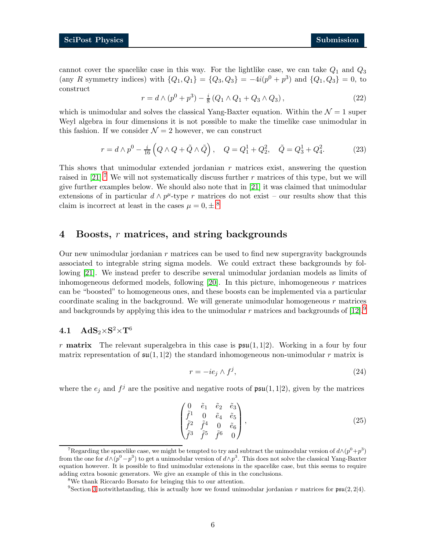<span id="page-5-5"></span>cannot cover the spacelike case in this way. For the lightlike case, we can take  $Q_1$  and  $Q_3$ (any R symmetry indices) with  $\{Q_1, Q_1\} = \{Q_3, Q_3\} = -4i(p^0 + p^3)$  and  $\{Q_1, Q_3\} = 0$ , to construct

$$
r = d \wedge (p^{0} + p^{3}) - \frac{i}{8} (Q_{1} \wedge Q_{1} + Q_{3} \wedge Q_{3}), \qquad (22)
$$

which is unimodular and solves the classical Yang-Baxter equation. Within the  $\mathcal{N}=1$  super Weyl algebra in four dimensions it is not possible to make the timelike case unimodular in this fashion. If we consider  $\mathcal{N}=2$  however, we can construct

$$
r = d \wedge p^{0} - \frac{i}{16} \left( Q \wedge Q + \tilde{Q} \wedge \tilde{Q} \right), \quad Q = Q_{1}^{1} + Q_{2}^{2}, \quad \tilde{Q} = Q_{3}^{1} + Q_{4}^{2}.
$$
 (23)

This shows that unimodular extended jordanian  $r$  matrices exist, answering the question raised in [\[21\]](#page-15-4).<sup>[7](#page-5-2)</sup> We will not systematically discuss further  $r$  matrices of this type, but we will give further examples below. We should also note that in [\[21\]](#page-15-4) it was claimed that unimodular extensions of in particular  $d \wedge p^{\mu}$ -type r matrices do not exist – our results show that this claim is incorrect at least in the cases  $\mu = 0, \pm$ .<sup>[8](#page-5-3)</sup>

## <span id="page-5-0"></span>4 Boosts, r matrices, and string backgrounds

Our new unimodular jordanian  $r$  matrices can be used to find new supergravity backgrounds associated to integrable string sigma models. We could extract these backgrounds by following [\[21\]](#page-15-4). We instead prefer to describe several unimodular jordanian models as limits of inhomogeneous deformed models, following  $[20]$ . In this picture, inhomogeneous r matrices can be "boosted" to homogeneous ones, and these boosts can be implemented via a particular coordinate scaling in the background. We will generate unimodular homogeneous  $r$  matrices and backgrounds by applying this idea to the unimodular r matrices and backgrounds of  $[12]$ .

# <span id="page-5-1"></span>4.1  $\mathrm{AdS}_2 \times \mathrm{S}^2 \times \mathrm{T}^6$

r **matrix** The relevant superalgebra in this case is  $\mathfrak{psu}(1, 1|2)$ . Working in a four by four matrix representation of  $\mathfrak{su}(1,1|2)$  the standard inhomogeneous non-unimodular r matrix is

$$
r = -ie_j \wedge f^j,\tag{24}
$$

where the  $e_j$  and  $f^j$  are the positive and negative roots of  $\mathfrak{psu}(1,1|2)$ , given by the matrices

$$
\begin{pmatrix}\n0 & \tilde{e}_1 & \tilde{e}_2 & \tilde{e}_3 \\
\tilde{f}^1 & 0 & \tilde{e}_4 & \tilde{e}_5 \\
\tilde{f}^2 & \tilde{f}^4 & 0 & \tilde{e}_6 \\
\tilde{f}^3 & \tilde{f}^5 & \tilde{f}^6 & 0\n\end{pmatrix},
$$
\n(25)

<span id="page-5-2"></span><sup>&</sup>lt;sup>7</sup>Regarding the spacelike case, we might be tempted to try and subtract the unimodular version of  $d \wedge (p^0+p^3)$ from the one for  $d \wedge (p^0 - p^3)$  to get a unimodular version of  $d \wedge p^3$ . This does not solve the classical Yang-Baxter equation however. It is possible to find unimodular extensions in the spacelike case, but this seems to require adding extra bosonic generators. We give an example of this in the conclusions.

<sup>8</sup>We thank Riccardo Borsato for bringing this to our attention.

<span id="page-5-4"></span><span id="page-5-3"></span><sup>&</sup>lt;sup>9</sup>Section [3](#page-4-0) notwithstanding, this is actually how we found unimodular jordanian r matrices for  $\mathfrak{psu}(2, 2|4)$ .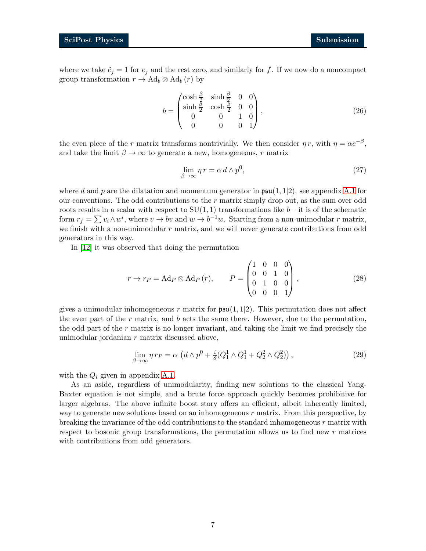where we take  $\tilde{e}_j = 1$  for  $e_j$  and the rest zero, and similarly for f. If we now do a noncompact group transformation  $r \to \text{Ad}_b \otimes \text{Ad}_b(r)$  by

$$
b = \begin{pmatrix} \cosh\frac{\beta}{2} & \sinh\frac{\beta}{2} & 0 & 0\\ \sinh\frac{\beta}{2} & \cosh\frac{\beta}{2} & 0 & 0\\ 0 & 0 & 1 & 0\\ 0 & 0 & 0 & 1 \end{pmatrix},
$$
(26)

the even piece of the r matrix transforms nontrivially. We then consider  $\eta r$ , with  $\eta = \alpha e^{-\beta}$ , and take the limit  $\beta \to \infty$  to generate a new, homogeneous, r matrix

$$
\lim_{\beta \to \infty} \eta \, r = \alpha \, d \wedge p^0,\tag{27}
$$

where d and p are the dilatation and momentum generator in  $\mathfrak{psu}(1,1|2)$ , see appendix [A.1](#page-12-1) for our conventions. The odd contributions to the  $r$  matrix simply drop out, as the sum over odd roots results in a scalar with respect to  $SU(1, 1)$  transformations like  $b - it$  is of the schematic form  $r_f = \sum v_i \wedge w^i$ , where  $v \to bv$  and  $w \to b^{-1}w$ . Starting from a non-unimodular r matrix, we finish with a non-unimodular  $r$  matrix, and we will never generate contributions from odd generators in this way.

In [\[12\]](#page-15-0) it was observed that doing the permutation

$$
r \to r_P = \text{Ad}_P \otimes \text{Ad}_P (r), \qquad P = \begin{pmatrix} 1 & 0 & 0 & 0 \\ 0 & 0 & 1 & 0 \\ 0 & 1 & 0 & 0 \\ 0 & 0 & 0 & 1 \end{pmatrix},
$$
 (28)

gives a unimodular inhomogeneous r matrix for  $\mathfrak{psu}(1,1|2)$ . This permutation does not affect the even part of the  $r$  matrix, and  $b$  acts the same there. However, due to the permutation, the odd part of the  $r$  matrix is no longer invariant, and taking the limit we find precisely the unimodular jordanian r matrix discussed above,

$$
\lim_{\beta \to \infty} \eta \, r_P = \alpha \, \left( d \wedge p^0 + \frac{i}{8} (Q_1^1 \wedge Q_1^1 + Q_2^2 \wedge Q_2^2) \right),\tag{29}
$$

with the  $Q_i$  given in appendix [A.1.](#page-12-1)

As an aside, regardless of unimodularity, finding new solutions to the classical Yang-Baxter equation is not simple, and a brute force approach quickly becomes prohibitive for larger algebras. The above infinite boost story offers an efficient, albeit inherently limited, way to generate new solutions based on an inhomogeneous  $r$  matrix. From this perspective, by breaking the invariance of the odd contributions to the standard inhomogeneous r matrix with respect to bosonic group transformations, the permutation allows us to find new  $r$  matrices with contributions from odd generators.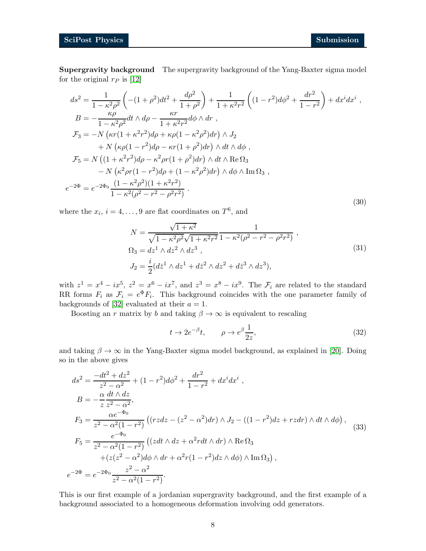Supergravity background The supergravity background of the Yang-Baxter sigma model for the original  $r_P$  is [\[12\]](#page-15-0)

$$
ds^{2} = \frac{1}{1 - \kappa^{2} \rho^{2}} \left( -(1 + \rho^{2}) dt^{2} + \frac{d\rho^{2}}{1 + \rho^{2}} \right) + \frac{1}{1 + \kappa^{2} r^{2}} \left( (1 - r^{2}) d\phi^{2} + \frac{dr^{2}}{1 - r^{2}} \right) + dx^{i} dx^{i} ,
$$
  
\n
$$
B = -\frac{\kappa \rho}{1 - \kappa^{2} \rho^{2}} dt \wedge d\rho - \frac{\kappa r}{1 + \kappa^{2} r^{2}} d\phi \wedge dr ,
$$
  
\n
$$
\mathcal{F}_{3} = -N \left( \kappa r (1 + \kappa^{2} r^{2}) d\rho + \kappa \rho (1 - \kappa^{2} \rho^{2}) dr \right) \wedge J_{2}
$$
  
\n
$$
+ N \left( \kappa \rho (1 - r^{2}) d\rho - \kappa r (1 + \rho^{2}) dr \right) \wedge dt \wedge d\phi ,
$$
  
\n
$$
\mathcal{F}_{5} = N \left( (1 + \kappa^{2} r^{2}) d\rho - \kappa^{2} \rho r (1 + \rho^{2}) dr \right) \wedge dt \wedge \text{Re}\,\Omega_{3}
$$
  
\n
$$
- N \left( \kappa^{2} \rho r (1 - r^{2}) d\rho + (1 - \kappa^{2} \rho^{2}) dr \right) \wedge d\phi \wedge \text{Im}\,\Omega_{3} ,
$$
  
\n
$$
e^{-2\Phi} = e^{-2\Phi_{0}} \frac{(1 - \kappa^{2} \rho^{2})(1 + \kappa^{2} r^{2})}{1 - \kappa^{2} (\rho^{2} - r^{2} - \rho^{2} r^{2})} .
$$
  
\n(30)

where the  $x_i$ ,  $i = 4, ..., 9$  are flat coordinates on  $T^6$ , and

$$
N = \frac{\sqrt{1 + \kappa^2}}{\sqrt{1 - \kappa^2 \rho^2} \sqrt{1 + \kappa^2 r^2}} \frac{1}{1 - \kappa^2 (\rho^2 - r^2 - \rho^2 r^2)},
$$
  
\n
$$
\Omega_3 = dz^1 \wedge dz^2 \wedge dz^3 ,
$$
  
\n
$$
J_2 = \frac{i}{2} (d\bar{z}^1 \wedge dz^1 + d\bar{z}^2 \wedge dz^2 + d\bar{z}^3 \wedge dz^3),
$$
  
\n(31)

with  $z^1 = x^4 - ix^5$ ,  $z^2 = x^6 - ix^7$ , and  $z^3 = x^8 - ix^9$ . The  $\mathcal{F}_i$  are related to the standard RR forms  $F_i$  as  $\mathcal{F}_i = e^{\Phi} F_i$ . This background coincides with the one parameter family of backgrounds of [\[32\]](#page-16-4) evaluated at their  $a = 1$ .

Boosting an r matrix by b and taking  $\beta \to \infty$  is equivalent to rescaling

$$
t \to 2e^{-\beta}t, \qquad \rho \to e^{\beta}\frac{1}{2z}, \tag{32}
$$

and taking  $\beta \to \infty$  in the Yang-Baxter sigma model background, as explained in [\[20\]](#page-15-3). Doing so in the above gives

$$
ds^{2} = \frac{-dt^{2} + dz^{2}}{z^{2} - \alpha^{2}} + (1 - r^{2})d\phi^{2} + \frac{dr^{2}}{1 - r^{2}} + dx^{i}dx^{i},
$$
  
\n
$$
B = -\frac{\alpha}{z} \frac{dt \wedge dz}{z^{2} - \alpha^{2}},
$$
  
\n
$$
F_{3} = \frac{\alpha e^{-\Phi_{0}}}{z^{2} - \alpha^{2}(1 - r^{2})} ((rzdz - (z^{2} - \alpha^{2})dr) \wedge J_{2} - ((1 - r^{2})dz + rzdr) \wedge dt \wedge d\phi),
$$
  
\n
$$
F_{5} = \frac{e^{-\Phi_{0}}}{z^{2} - \alpha^{2}(1 - r^{2})} ((zdt \wedge dz + \alpha^{2}rdt \wedge dr) \wedge \text{Re}\,\Omega_{3}) + (z(z^{2} - \alpha^{2})d\phi \wedge dr + \alpha^{2}r(1 - r^{2})dz \wedge d\phi) \wedge \text{Im}\,\Omega_{3}),
$$
  
\n
$$
e^{-2\Phi} = e^{-2\Phi_{0}} \frac{z^{2} - \alpha^{2}}{z^{2} - \alpha^{2}(1 - r^{2})}.
$$
  
\n(33)

This is our first example of a jordanian supergravity background, and the first example of a background associated to a homogeneous deformation involving odd generators.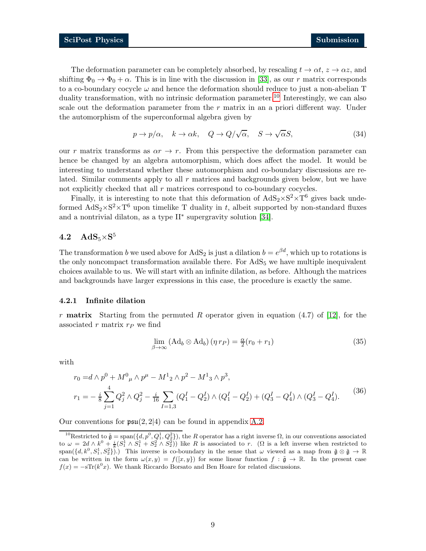The deformation parameter can be completely absorbed, by rescaling  $t \to \alpha t$ ,  $z \to \alpha z$ , and shifting  $\Phi_0 \to \Phi_0 + \alpha$ . This is in line with the discussion in [\[33\]](#page-16-5), as our r matrix corresponds to a co-boundary cocycle  $\omega$  and hence the deformation should reduce to just a non-abelian T duality transformation, with no intrinsic deformation parameter.<sup>[10](#page-8-2)</sup> Interestingly, we can also scale out the deformation parameter from the  $r$  matrix in an a priori different way. Under the automorphism of the superconformal algebra given by

$$
p \to p/\alpha, \quad k \to \alpha k, \quad Q \to Q/\sqrt{\alpha}, \quad S \to \sqrt{\alpha}S,\tag{34}
$$

our r matrix transforms as  $\alpha r \to r$ . From this perspective the deformation parameter can hence be changed by an algebra automorphism, which does affect the model. It would be interesting to understand whether these automorphism and co-boundary discussions are related. Similar comments apply to all  $r$  matrices and backgrounds given below, but we have not explicitly checked that all  $r$  matrices correspond to co-boundary cocycles.

Finally, it is interesting to note that this deformation of  $AdS_2 \times S^2 \times T^6$  gives back undeformed  $AdS_2 \times S^2 \times T^6$  upon timelike T duality in t, albeit supported by non-standard fluxes and a nontrivial dilaton, as a type II<sup>∗</sup> supergravity solution [\[34\]](#page-16-6).

# <span id="page-8-0"></span> $4.2\quad \mathrm{AdS}_5{\times}\mathrm{S}^5$

The transformation b we used above for  $AdS_2$  is just a dilation  $b = e^{\beta d}$ , which up to rotations is the only noncompact transformation available there. For  $AdS<sub>5</sub>$  we have multiple inequivalent choices available to us. We will start with an infinite dilation, as before. Although the matrices and backgrounds have larger expressions in this case, the procedure is exactly the same.

#### <span id="page-8-1"></span>4.2.1 Infinite dilation

r **matrix** Starting from the permuted R operator given in equation  $(4.7)$  of [\[12\]](#page-15-0), for the associated r matrix  $r_P$  we find

<span id="page-8-3"></span>
$$
\lim_{\beta \to \infty} (\text{Ad}_b \otimes \text{Ad}_b) (\eta r_P) = \frac{\alpha}{2} (r_0 + r_1)
$$
\n(35)

with

$$
r_0 = d \wedge p^0 + M^0_{\mu} \wedge p^{\mu} - M^1_{2} \wedge p^2 - M^1_{3} \wedge p^3,
$$
  
\n
$$
r_1 = -\frac{i}{8} \sum_{j=1}^{4} Q_j^2 \wedge Q_j^2 - \frac{i}{16} \sum_{I=1,3} (Q_1^I - Q_2^I) \wedge (Q_1^I - Q_2^I) + (Q_3^I - Q_4^I) \wedge (Q_3^I - Q_4^I).
$$
\n
$$
(36)
$$

Our conventions for  $\mathfrak{psu}(2,2|4)$  can be found in appendix [A.2.](#page-12-2)

<span id="page-8-2"></span><sup>&</sup>lt;sup>10</sup>Restricted to  $\tilde{\mathfrak{g}} = \text{span}(\{d, p^0, Q_1^1, Q_2^2\})$ , the R operator has a right inverse  $\Omega$ , in our conventions associated to  $\omega = 2d \wedge k^0 + \frac{i}{8} (S_1^1 \wedge S_1^1 + S_2^2 \wedge S_2^2))$  like R is associated to r. ( $\Omega$  is a left inverse when restricted to  $\text{span}(\{d, k^0, S_1^1, S_2^2\})$ .) This inverse is co-boundary in the sense that  $\omega$  viewed as a map from  $\tilde{\mathfrak{g}} \otimes \tilde{\mathfrak{g}} \to \mathbb{R}$ can be written in the form  $\omega(x, y) = f([x, y])$  for some linear function  $f : \tilde{\mathfrak{g}} \to \mathbb{R}$ . In the present case  $f(x) = -sTr(k^{0}x)$ . We thank Riccardo Borsato and Ben Hoare for related discussions.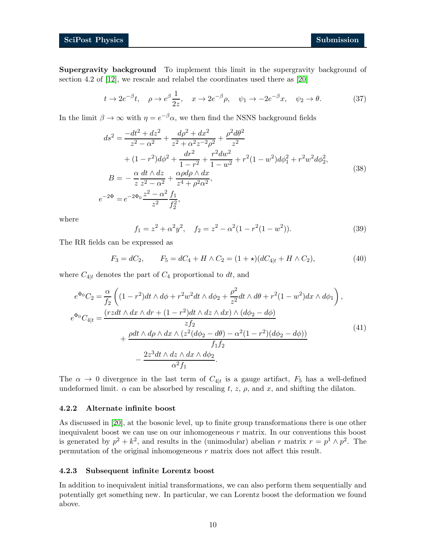Supergravity background To implement this limit in the supergravity background of section 4.2 of [\[12\]](#page-15-0), we rescale and relabel the coordinates used there as [\[20\]](#page-15-3)

<span id="page-9-2"></span>
$$
t \to 2e^{-\beta}t, \quad \rho \to e^{\beta}\frac{1}{2z}, \quad x \to 2e^{-\beta}\rho, \quad \psi_1 \to -2e^{-\beta}x, \quad \psi_2 \to \theta. \tag{37}
$$

In the limit  $\beta \to \infty$  with  $\eta = e^{-\beta} \alpha$ , we then find the NSNS background fields

$$
ds^{2} = \frac{-dt^{2} + dz^{2}}{z^{2} - \alpha^{2}} + \frac{d\rho^{2} + dx^{2}}{z^{2} + \alpha^{2}z^{-2}\rho^{2}} + \frac{\rho^{2}d\theta^{2}}{z^{2}}
$$
  
+  $(1 - r^{2})d\phi^{2} + \frac{dr^{2}}{1 - r^{2}} + \frac{r^{2}dw^{2}}{1 - w^{2}} + r^{2}(1 - w^{2})d\phi_{1}^{2} + r^{2}w^{2}d\phi_{2}^{2},$   

$$
B = -\frac{\alpha}{z}\frac{dt \wedge dz}{z^{2} - \alpha^{2}} + \frac{\alpha\rho d\rho \wedge dx}{z^{4} + \rho^{2}\alpha^{2}},
$$
  

$$
e^{-2\Phi} = e^{-2\Phi_{0}}\frac{z^{2} - \alpha^{2}}{z^{2}}\frac{f_{1}}{f_{2}^{2}},
$$
  
(38)

where

<span id="page-9-3"></span>
$$
f_1 = z^2 + \alpha^2 y^2, \quad f_2 = z^2 - \alpha^2 (1 - r^2 (1 - w^2)).
$$
 (39)

The RR fields can be expressed as

$$
F_3 = dC_2, \qquad F_5 = dC_4 + H \wedge C_2 = (1 + \star)(dC_{4|t} + H \wedge C_2), \tag{40}
$$

where  $C_{4|t}$  denotes the part of  $C_4$  proportional to dt, and

$$
e^{\Phi_0}C_2 = \frac{\alpha}{f_2} \left( (1 - r^2)dt \wedge d\phi + r^2 w^2 dt \wedge d\phi_2 + \frac{\rho^2}{z^2} dt \wedge d\theta + r^2 (1 - w^2) dx \wedge d\phi_1 \right),
$$
  
\n
$$
e^{\Phi_0}C_{4|t} = \frac{(rzdt \wedge dx \wedge dr + (1 - r^2)dt \wedge dz \wedge dx) \wedge (d\phi_2 - d\phi)}{zf_2}
$$
  
\n
$$
+ \frac{\rho dt \wedge d\rho \wedge dx \wedge (z^2(d\phi_2 - d\theta) - \alpha^2 (1 - r^2)(d\phi_2 - d\phi))}{f_1f_2}
$$
  
\n
$$
- \frac{2z^3 dt \wedge dz \wedge dx \wedge d\phi_2}{\alpha^2 f_1}.
$$
  
\n(41)

The  $\alpha \to 0$  divergence in the last term of  $C_{4|t}$  is a gauge artifact,  $F_5$  has a well-defined undeformed limit.  $\alpha$  can be absorbed by rescaling t, z,  $\rho$ , and x, and shifting the dilaton.

#### <span id="page-9-0"></span>4.2.2 Alternate infinite boost

As discussed in [\[20\]](#page-15-3), at the bosonic level, up to finite group transformations there is one other inequivalent boost we can use on our inhomogeneous  $r$  matrix. In our conventions this boost is generated by  $p^2 + k^2$ , and results in the (unimodular) abelian r matrix  $r = p^1 \wedge p^2$ . The permutation of the original inhomogeneous r matrix does not affect this result.

#### <span id="page-9-1"></span>4.2.3 Subsequent infinite Lorentz boost

In addition to inequivalent initial transformations, we can also perform them sequentially and potentially get something new. In particular, we can Lorentz boost the deformation we found above.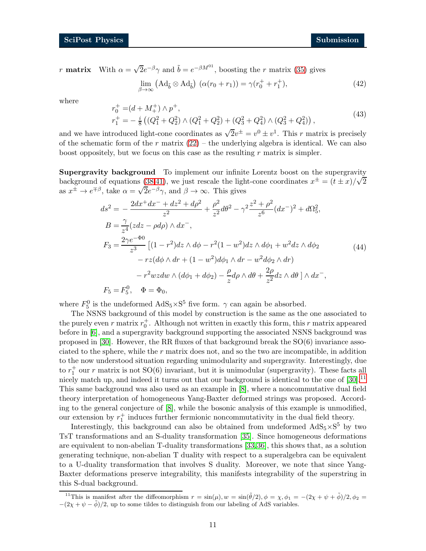r **matrix** With  $\alpha = \sqrt{2}e^{-\beta}\gamma$  and  $\tilde{b} = e^{-\beta M^{01}}$ , boosting the r matrix [\(35\)](#page-8-3) gives

$$
\lim_{\beta \to \infty} \left( \mathrm{Ad}_{\tilde{b}} \otimes \mathrm{Ad}_{\tilde{b}} \right) \left( \alpha (r_0 + r_1) \right) = \gamma (r_0^+ + r_1^+), \tag{42}
$$

where

$$
r_0^+ = (d + M_+^+) \wedge p^+, r_1^+ = -\frac{i}{8} ((Q_1^2 + Q_2^2) \wedge (Q_1^2 + Q_2^2) + (Q_3^2 + Q_4^2) \wedge (Q_3^2 + Q_4^2)),
$$
\n(43)

and we have introduced light-cone coordinates as  $\sqrt{2}v^{\pm} = v^0 \pm v^1$ . This r matrix is precisely of the schematic form of the r matrix  $(22)$  – the underlying algebra is identical. We can also boost oppositely, but we focus on this case as the resulting  $r$  matrix is simpler.

Supergravity background To implement our infinite Lorentz boost on the supergravity background of equations  $(38,41)$  $(38,41)$ , we just rescale the light-cone coordinates  $x^{\pm} = (t \pm x)/\sqrt{2}$ as  $x^{\pm} \to e^{\mp \beta}$ , take  $\alpha = \sqrt{2}e^{-\beta} \gamma$ , and  $\beta \to \infty$ . This gives

$$
ds^{2} = -\frac{2dx^{+}dx^{-} + dz^{2} + d\rho^{2}}{z^{2}} + \frac{\rho^{2}}{z^{2}}d\theta^{2} - \gamma^{2}\frac{z^{2} + \rho^{2}}{z^{6}}(dx^{-})^{2} + d\Omega_{5}^{2},
$$
  
\n
$$
B = \frac{\gamma}{z^{4}}(zdz - \rho d\rho) \wedge dx^{-},
$$
  
\n
$$
F_{3} = \frac{2\gamma e^{-\Phi_{0}}}{z^{3}} \left[ (1 - r^{2})dz \wedge d\phi - r^{2}(1 - w^{2})dz \wedge d\phi_{1} + w^{2}dz \wedge d\phi_{2} - rz(d\phi \wedge dr + (1 - w^{2})d\phi_{1} \wedge dr - w^{2}d\phi_{2} \wedge dr) - r^{2}wzdw \wedge (d\phi_{1} + d\phi_{2}) - \frac{\rho}{z}d\rho \wedge d\theta + \frac{2\rho}{z^{2}}dz \wedge d\theta \right] \wedge dx^{-},
$$
  
\n
$$
F_{5} = F_{5}^{0}, \quad \Phi = \Phi_{0},
$$
  
\n(44)

where  $F_5^0$  is the undeformed  $AdS_5 \times S^5$  five form.  $\gamma$  can again be absorbed.

The NSNS background of this model by construction is the same as the one associated to the purely even r matrix  $r_0^+$ . Although not written in exactly this form, this r matrix appeared before in [\[6\]](#page-14-5), and a supergravity background supporting the associated NSNS background was proposed in [\[30\]](#page-16-2). However, the RR fluxes of that background break the SO(6) invariance associated to the sphere, while the  $r$  matrix does not, and so the two are incompatible, in addition to the now understood situation regarding unimodularity and supergravity. Interestingly, due to  $r_1^+$  our r matrix is not SO(6) invariant, but it is unimodular (supergravity). These facts all nicely match up, and indeed it turns out that our background is identical to the one of  $[30]$ .<sup>[11](#page-10-0)</sup> This same background was also used as an example in [\[8\]](#page-14-7), where a noncommutative dual field theory interpretation of homogeneous Yang-Baxter deformed strings was proposed. According to the general conjecture of [\[8\]](#page-14-7), while the bosonic analysis of this example is unmodified, our extension by  $r_1^+$  induces further fermionic noncommutativity in the dual field theory.

Interestingly, this background can also be obtained from undeformed  $AdS_5 \times S^5$  by two TsT transformations and an S-duality transformation [\[35\]](#page-16-7). Since homogeneous deformations are equivalent to non-abelian T-duality transformations [\[33,](#page-16-5)[36\]](#page-16-8), this shows that, as a solution generating technique, non-abelian T duality with respect to a superalgebra can be equivalent to a U-duality transformation that involves S duality. Moreover, we note that since Yang-Baxter deformations preserve integrability, this manifests integrability of the superstring in this S-dual background.

<span id="page-10-0"></span><sup>&</sup>lt;sup>11</sup>This is manifest after the diffeomorphism  $r = \sin(\mu)$ ,  $w = \sin(\tilde{\theta}/2)$ ,  $\phi = \chi$ ,  $\phi_1 = -(2\chi + \psi + \tilde{\phi})/2$ ,  $\phi_2 =$  $-(2\chi + \psi - \tilde{\phi})/2$ , up to some tildes to distinguish from our labeling of AdS variables.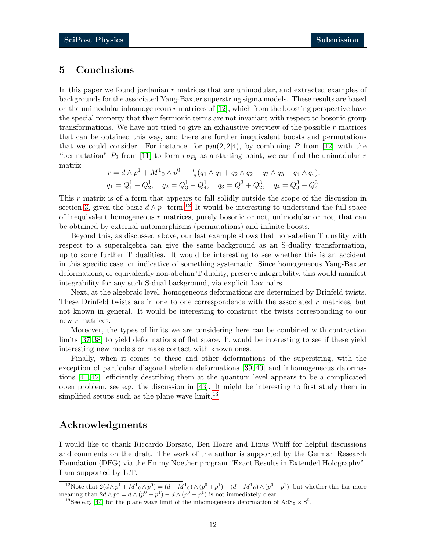## <span id="page-11-0"></span>5 Conclusions

In this paper we found jordanian r matrices that are unimodular, and extracted examples of backgrounds for the associated Yang-Baxter superstring sigma models. These results are based on the unimodular inhomogeneous  $r$  matrices of [\[12\]](#page-15-0), which from the boosting perspective have the special property that their fermionic terms are not invariant with respect to bosonic group transformations. We have not tried to give an exhaustive overview of the possible  $r$  matrices that can be obtained this way, and there are further inequivalent boosts and permutations that we could consider. For instance, for  $\mathfrak{psu}(2, 2|4)$ , by combining P from [\[12\]](#page-15-0) with the "permutation"  $P_2$  from [\[11\]](#page-14-9) to form  $r_{PP_2}$  as a starting point, we can find the unimodular r matrix

$$
r = d \wedge p^1 + M^1_0 \wedge p^0 + \frac{i}{16}(q_1 \wedge q_1 + q_2 \wedge q_2 - q_3 \wedge q_3 - q_4 \wedge q_4),
$$
  
\n
$$
q_1 = Q_1^1 - Q_2^1, \quad q_2 = Q_3^1 - Q_4^1, \quad q_3 = Q_1^3 + Q_2^3, \quad q_4 = Q_3^3 + Q_4^3.
$$

This r matrix is of a form that appears to fall solidly outside the scope of the discussion in section [3,](#page-4-0) given the basic  $d \wedge p^1$  term.<sup>[12](#page-11-1)</sup> It would be interesting to understand the full space of inequivalent homogeneous r matrices, purely bosonic or not, unimodular or not, that can be obtained by external automorphisms (permutations) and infinite boosts.

Beyond this, as discussed above, our last example shows that non-abelian T duality with respect to a superalgebra can give the same background as an S-duality transformation, up to some further T dualities. It would be interesting to see whether this is an accident in this specific case, or indicative of something systematic. Since homogeneous Yang-Baxter deformations, or equivalently non-abelian T duality, preserve integrability, this would manifest integrability for any such S-dual background, via explicit Lax pairs.

Next, at the algebraic level, homogeneous deformations are determined by Drinfeld twists. These Drinfeld twists are in one to one correspondence with the associated  $r$  matrices, but not known in general. It would be interesting to construct the twists corresponding to our new r matrices.

Moreover, the types of limits we are considering here can be combined with contraction limits [\[37,](#page-16-9) [38\]](#page-16-10) to yield deformations of flat space. It would be interesting to see if these yield interesting new models or make contact with known ones.

Finally, when it comes to these and other deformations of the superstring, with the exception of particular diagonal abelian deformations [\[39,](#page-16-11) [40\]](#page-16-12) and inhomogeneous deformations [\[41,](#page-16-13) [42\]](#page-16-14), efficiently describing them at the quantum level appears to be a complicated open problem, see e.g. the discussion in [\[43\]](#page-17-0). It might be interesting to first study them in simplified setups such as the plane wave limit.<sup>[13](#page-11-2)</sup>

## Acknowledgments

I would like to thank Riccardo Borsato, Ben Hoare and Linus Wulff for helpful discussions and comments on the draft. The work of the author is supported by the German Research Foundation (DFG) via the Emmy Noether program "Exact Results in Extended Holography". I am supported by L.T.

<sup>&</sup>lt;sup>12</sup>Note that  $2(d \wedge p^1 + M^1 \circ \wedge p^0) = (d + M^1 \circ \wedge (p^0 + p^1) - (d - M^1 \circ \wedge (p^0 - p^1))$ , but whether this has more meaning than  $2d \wedge p^1 = d \wedge (p^0 + p^1) - d \wedge (p^0 - p^1)$  is not immediately clear.

<span id="page-11-2"></span><span id="page-11-1"></span><sup>&</sup>lt;sup>13</sup>See e.g. [\[44\]](#page-17-1) for the plane wave limit of the inhomogeneous deformation of  $AdS_5 \times S^5$ .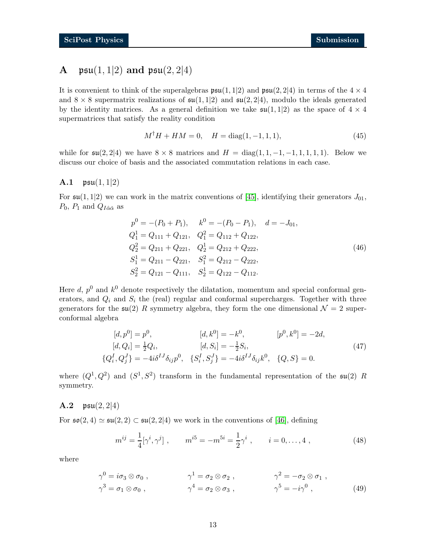# <span id="page-12-0"></span>**A**  $\mathfrak{psu}(1,1|2)$  and  $\mathfrak{psu}(2,2|4)$

It is convenient to think of the superalgebras  $\mathfrak{psu}(1,1|2)$  and  $\mathfrak{psu}(2,2|4)$  in terms of the  $4 \times 4$ and  $8 \times 8$  supermatrix realizations of  $\mathfrak{su}(1,1|2)$  and  $\mathfrak{su}(2,2|4)$ , modulo the ideals generated by the identity matrices. As a general definition we take  $\mathfrak{su}(1,1|2)$  as the space of  $4 \times 4$ supermatrices that satisfy the reality condition

$$
M^{\dagger}H + HM = 0, \quad H = \text{diag}(1, -1, 1, 1), \tag{45}
$$

while for  $\mathfrak{su}(2, 2|4)$  we have  $8 \times 8$  matrices and  $H = \text{diag}(1, 1, -1, -1, 1, 1, 1, 1)$ . Below we discuss our choice of basis and the associated commutation relations in each case.

#### <span id="page-12-1"></span>A.1  $psu(1, 1|2)$

For  $\mathfrak{su}(1,1|2)$  we can work in the matrix conventions of [\[45\]](#page-17-2), identifying their generators  $J_{01}$ ,  $P_0$ ,  $P_1$  and  $Q_{I\hat{\alpha}\check{\alpha}}$  as

$$
p^{0} = -(P_{0} + P_{1}), \t k^{0} = -(P_{0} - P_{1}), \t d = -J_{01},
$$
  
\n
$$
Q_{1}^{1} = Q_{111} + Q_{121}, \t Q_{1}^{2} = Q_{112} + Q_{122},
$$
  
\n
$$
Q_{2}^{2} = Q_{211} + Q_{221}, \t Q_{2}^{1} = Q_{212} + Q_{222},
$$
  
\n
$$
S_{1}^{1} = Q_{211} - Q_{221}, \t S_{1}^{2} = Q_{212} - Q_{222},
$$
  
\n
$$
S_{2}^{2} = Q_{121} - Q_{111}, \t S_{2}^{1} = Q_{122} - Q_{112}.
$$
  
\n(46)

Here d,  $p^0$  and  $k^0$  denote respectively the dilatation, momentum and special conformal generators, and  $Q_i$  and  $S_i$  the (real) regular and conformal supercharges. Together with three generators for the  $\mathfrak{su}(2)$  R symmetry algebra, they form the one dimensional  $\mathcal{N}=2$  superconformal algebra

$$
[d, p^{0}] = p^{0}, \t [d, k^{0}] = -k^{0}, \t [p^{0}, k^{0}] = -2d,
$$
  
\n
$$
[d, Q_{i}] = \frac{1}{2}Q_{i}, \t [d, S_{i}] = -\frac{1}{2}S_{i},
$$
  
\n
$$
\{Q_{i}^{I}, Q_{j}^{J}\} = -4i\delta^{IJ}\delta_{ij}p^{0}, \t \{S_{i}^{I}, S_{j}^{J}\} = -4i\delta^{IJ}\delta_{ij}k^{0}, \t \{Q, S\} = 0.
$$
\n(47)

where  $(Q^1, Q^2)$  and  $(S^1, S^2)$  transform in the fundamental representation of the  $\mathfrak{su}(2)$  R symmetry.

### <span id="page-12-2"></span>A.2  $\mathfrak{psu}(2,2|4)$

For  $\mathfrak{so}(2,4) \simeq \mathfrak{su}(2,2) \subset \mathfrak{su}(2,2|4)$  we work in the conventions of [\[46\]](#page-17-3), defining

$$
m^{ij} = \frac{1}{4} [\gamma^i, \gamma^j] , \qquad m^{i5} = -m^{5i} = \frac{1}{2} \gamma^i , \qquad i = 0, \dots, 4 , \qquad (48)
$$

where

$$
\gamma^0 = i\sigma_3 \otimes \sigma_0 , \qquad \gamma^1 = \sigma_2 \otimes \sigma_2 , \qquad \gamma^2 = -\sigma_2 \otimes \sigma_1 ,
$$
  

$$
\gamma^3 = \sigma_1 \otimes \sigma_0 , \qquad \gamma^4 = \sigma_2 \otimes \sigma_3 , \qquad \gamma^5 = -i\gamma^0 , \qquad (49)
$$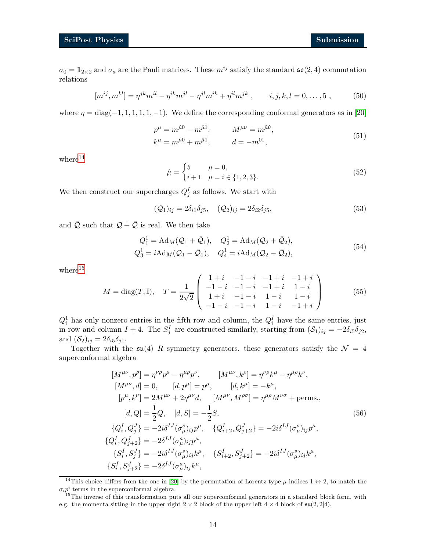$\sigma_0 = \mathbf{1}_{2\times 2}$  and  $\sigma_a$  are the Pauli matrices. These  $m^{ij}$  satisfy the standard  $\mathfrak{so}(2,4)$  commutation relations

$$
[m^{ij}, m^{kl}] = \eta^{jk} m^{il} - \eta^{ik} m^{jl} - \eta^{jl} m^{ik} + \eta^{il} m^{jk} , \qquad i, j, k, l = 0, ..., 5 , \qquad (50)
$$

where  $\eta = \text{diag}(-1, 1, 1, 1, 1, -1)$ . We define the corresponding conformal generators as in [\[20\]](#page-15-3)

$$
p^{\mu} = m^{\hat{\mu}0} - m^{\hat{\mu}1}, \qquad M^{\mu\nu} = m^{\hat{\mu}\hat{\nu}}, k^{\mu} = m^{\hat{\mu}0} + m^{\hat{\mu}1}, \qquad d = -m^{01},
$$
\n(51)

 $where<sup>14</sup>$  $where<sup>14</sup>$  $where<sup>14</sup>$ 

$$
\hat{\mu} = \begin{cases} 5 & \mu = 0, \\ i+1 & \mu = i \in \{1, 2, 3\}. \end{cases}
$$
\n(52)

We then construct our supercharges  $Q_j^I$  as follows. We start with

$$
(\mathcal{Q}_1)_{ij} = 2\delta_{i1}\delta_{j5}, \quad (\mathcal{Q}_2)_{ij} = 2\delta_{i2}\delta_{j5}, \tag{53}
$$

and  $\overline{Q}$  such that  $Q + \overline{Q}$  is real. We then take

$$
Q_1^1 = \text{Ad}_M(Q_1 + \bar{Q}_1), \quad Q_2^1 = \text{Ad}_M(Q_2 + \bar{Q}_2),
$$
  
\n
$$
Q_3^1 = i \text{Ad}_M(Q_1 - \bar{Q}_1), \quad Q_4^1 = i \text{Ad}_M(Q_2 - \bar{Q}_2),
$$
\n(54)

where $15$ 

$$
M = \text{diag}(T, \mathbb{I}), \quad T = \frac{1}{2\sqrt{2}} \begin{pmatrix} 1+i & -1-i & -1+i & -1+i \\ -1-i & -1-i & -1+i & 1-i \\ 1+i & -1-i & 1-i & 1-i \\ -1-i & -1-i & 1-i & -1+i \end{pmatrix}
$$
(55)

 $Q_i^1$  has only nonzero entries in the fifth row and column, the  $Q_i^I$  have the same entries, just in row and column  $I + 4$ . The  $S_j^I$  are constructed similarly, starting from  $(S_1)_{ij} = -2\delta_{i5}\delta_{j2}$ , and  $(\mathcal{S}_2)_{ij} = 2\delta_{i5}\delta_{j1}$ .

Together with the  $\mathfrak{su}(4)$  R symmetry generators, these generators satisfy the  $\mathcal{N} = 4$ superconformal algebra

<span id="page-13-0"></span>
$$
[M^{\mu\nu}, p^{\rho}] = \eta^{\nu\rho} p^{\mu} - \eta^{\mu\rho} p^{\nu}, \qquad [M^{\mu\nu}, k^{\rho}] = \eta^{\nu\rho} k^{\mu} - \eta^{\mu\rho} k^{\nu}, [M^{\mu\nu}, d] = 0, \qquad [d, p^{\mu}] = p^{\mu}, \qquad [d, k^{\mu}] = -k^{\mu}, [p^{\mu}, k^{\nu}] = 2M^{\mu\nu} + 2\eta^{\mu\nu} d, \qquad [M^{\mu\nu}, M^{\rho\sigma}] = \eta^{\mu\rho} M^{\nu\sigma} + \text{perms.}, [d, Q] = \frac{1}{2} Q, \quad [d, S] = -\frac{1}{2} S, \{Q_i^I, Q_j^J\} = -2i\delta^{IJ} (\sigma^s_{\mu})_{ij} p^{\mu}, \qquad \{Q_{i+2}^I, Q_{j+2}^J\} = -2i\delta^{IJ} (\sigma^s_{\mu})_{ij} p^{\mu}, \{Q_i^I, Q_{j+2}^J\} = -2\delta^{IJ} (\sigma^a_{\mu})_{ij} p^{\mu}, \qquad \{S_{i+2}^I, S_{j+2}^J\} = -2i\delta^{IJ} (\sigma^s_{\mu})_{ij} k^{\mu}, \{S_i^I, S_{j+2}^J\} = -2\delta^{IJ} (\sigma^a_{\mu})_{ij} k^{\mu}, \qquad \{S_{i+2}^I, S_{j+2}^J\} = -2i\delta^{IJ} (\sigma^s_{\mu})_{ij} k^{\mu}, \{S_i^I, S_{j+2}^J\} = -2\delta^{IJ} (\sigma^a_{\mu})_{ij} k^{\mu},
$$

<span id="page-13-1"></span><sup>&</sup>lt;sup>14</sup>This choice differs from the one in [\[20\]](#page-15-3) by the permutation of Lorentz type  $\mu$  indices 1  $\leftrightarrow$  2, to match the  $\sigma_i p^i$  terms in the superconformal algebra.

<span id="page-13-2"></span><sup>&</sup>lt;sup>15</sup>The inverse of this transformation puts all our superconformal generators in a standard block form, with e.g. the momenta sitting in the upper right  $2 \times 2$  block of the upper left  $4 \times 4$  block of  $\mathfrak{su}(2, 2|4)$ .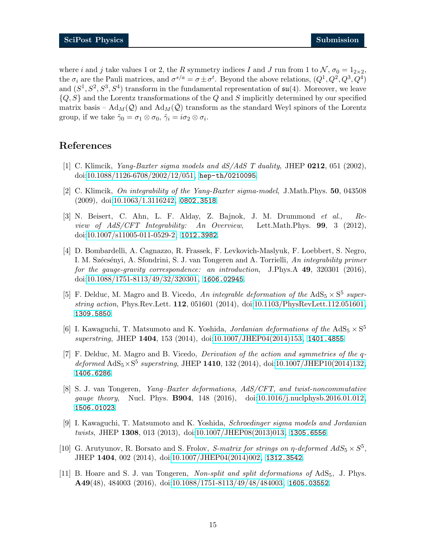where i and j take values 1 or 2, the R symmetry indices I and J run from 1 to  $\mathcal{N}, \sigma_0 = 1_{2 \times 2}$ , the  $\sigma_i$  are the Pauli matrices, and  $\sigma^{s/a} = \sigma \pm \sigma^t$ . Beyond the above relations,  $(Q^1, Q^2, Q^3, Q^4)$ and  $(S^1, S^2, S^3, S^4)$  transform in the fundamental representation of  $\mathfrak{su}(4)$ . Moreover, we leave  $\{Q, S\}$  and the Lorentz transformations of the Q and S implicitly determined by our specified matrix basis –  $\text{Ad}_{M}(Q)$  and  $\text{Ad}_{M}(Q)$  transform as the standard Weyl spinors of the Lorentz group, if we take  $\tilde{\gamma}_0 = \sigma_1 \otimes \sigma_0$ ,  $\tilde{\gamma}_i = i \sigma_2 \otimes \sigma_i$ .

### <span id="page-14-0"></span>References

- <span id="page-14-1"></span>[1] C. Klimcik, *Yang-Baxter sigma models and dS/AdS T duality*, JHEP 0212, 051 (2002), doi[:10.1088/1126-6708/2002/12/051,](http://dx.doi.org/10.1088/1126-6708/2002/12/051) <hep-th/0210095>.
- <span id="page-14-2"></span>[2] C. Klimcik, *On integrability of the Yang-Baxter sigma-model*, J.Math.Phys. 50, 043508 (2009), doi[:10.1063/1.3116242,](http://dx.doi.org/10.1063/1.3116242) <0802.3518>.
- [3] N. Beisert, C. Ahn, L. F. Alday, Z. Bajnok, J. M. Drummond *et al.*, *Review of AdS/CFT Integrability: An Overview*, Lett.Math.Phys. 99, 3 (2012), doi[:10.1007/s11005-011-0529-2,](http://dx.doi.org/10.1007/s11005-011-0529-2) <1012.3982>.
- <span id="page-14-3"></span>[4] D. Bombardelli, A. Cagnazzo, R. Frassek, F. Levkovich-Maslyuk, F. Loebbert, S. Negro, I. M. Sz´ecs´enyi, A. Sfondrini, S. J. van Tongeren and A. Torrielli, *An integrability primer for the gauge-gravity correspondence: an introduction*, J.Phys.A 49, 320301 (2016), doi[:10.1088/1751-8113/49/32/320301,](http://dx.doi.org/10.1088/1751-8113/49/32/320301) <1606.02945>.
- <span id="page-14-4"></span>[5] F. Delduc, M. Magro and B. Vicedo, An integrable deformation of the  $AdS_5 \times S^5$  super*string action*, Phys.Rev.Lett. 112, 051601 (2014), doi[:10.1103/PhysRevLett.112.051601,](http://dx.doi.org/10.1103/PhysRevLett.112.051601) <1309.5850>.
- <span id="page-14-5"></span>[6] I. Kawaguchi, T. Matsumoto and K. Yoshida, *Jordanian deformations of the*  $AdS_5 \times S^5$ *superstring*, JHEP 1404, 153 (2014), doi[:10.1007/JHEP04\(2014\)153,](http://dx.doi.org/10.1007/JHEP04(2014)153) <1401.4855>.
- <span id="page-14-6"></span>[7] F. Delduc, M. Magro and B. Vicedo, *Derivation of the action and symmetries of the* q $deformed\,\,AdS_5\times S^5\,\,superstring,\,JHEP\,\,{\bf 1410},\,132\,\,(2014),\,\,{\rm doi:}10.1007/JHEP10(2014)132,$ <1406.6286>.
- <span id="page-14-7"></span>[8] S. J. van Tongeren, *Yang–Baxter deformations, AdS/CFT, and twist-noncommutative gauge theory*, Nucl. Phys. B904, 148 (2016), doi[:10.1016/j.nuclphysb.2016.01.012,](http://dx.doi.org/10.1016/j.nuclphysb.2016.01.012) <1506.01023>.
- <span id="page-14-10"></span>[9] I. Kawaguchi, T. Matsumoto and K. Yoshida, *Schroedinger sigma models and Jordanian twists*, JHEP 1308, 013 (2013), doi[:10.1007/JHEP08\(2013\)013,](http://dx.doi.org/10.1007/JHEP08(2013)013) <1305.6556>.
- <span id="page-14-8"></span>[10] G. Arutyunov, R. Borsato and S. Frolov, *S-matrix for strings on*  $\eta$ -deformed  $AdS_5 \times S^5$ , JHEP 1404, 002 (2014), doi[:10.1007/JHEP04\(2014\)002,](http://dx.doi.org/10.1007/JHEP04(2014)002) <1312.3542>.
- <span id="page-14-9"></span>[11] B. Hoare and S. J. van Tongeren, *Non-split and split deformations of* AdS5, J. Phys. A49(48), 484003 (2016), doi[:10.1088/1751-8113/49/48/484003,](http://dx.doi.org/10.1088/1751-8113/49/48/484003) <1605.03552>.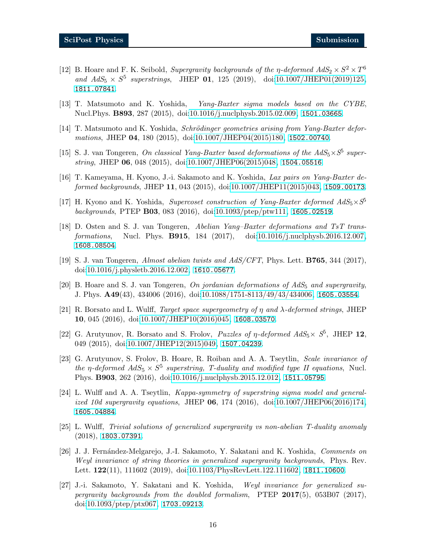- <span id="page-15-0"></span>[12] B. Hoare and F. K. Seibold, *Supergravity backgrounds of the*  $\eta$ -deformed  $AdS_2 \times S^2 \times T^6$ and  $AdS_5 \times S^5$  superstrings, JHEP **01**, 125 (2019), doi[:10.1007/JHEP01\(2019\)125,](http://dx.doi.org/10.1007/JHEP01(2019)125) <1811.07841>.
- <span id="page-15-1"></span>[13] T. Matsumoto and K. Yoshida, *Yang-Baxter sigma models based on the CYBE*, Nucl.Phys. **B893**, 287 (2015), doi[:10.1016/j.nuclphysb.2015.02.009,](http://dx.doi.org/10.1016/j.nuclphysb.2015.02.009) <1501.03665>.
- <span id="page-15-11"></span>[14] T. Matsumoto and K. Yoshida, *Schrödinger geometries arising from Yang-Baxter deformations*, JHEP 04, 180 (2015), doi[:10.1007/JHEP04\(2015\)180,](http://dx.doi.org/10.1007/JHEP04(2015)180) <1502.00740>.
- [15] S. J. van Tongeren, *On classical Yang-Baxter based deformations of the*  $AdS_5 \times S^5$  *superstring*, JHEP 06, 048 (2015), doi[:10.1007/JHEP06\(2015\)048,](http://dx.doi.org/10.1007/JHEP06(2015)048) <1504.05516>.
- [16] T. Kameyama, H. Kyono, J.-i. Sakamoto and K. Yoshida, *Lax pairs on Yang-Baxter deformed backgrounds*, JHEP 11, 043 (2015), doi[:10.1007/JHEP11\(2015\)043,](http://dx.doi.org/10.1007/JHEP11(2015)043) <1509.00173>.
- [17] H. Kyono and K. Yoshida, *Supercoset construction of Yang-Baxter deformed AdS*5×*S* 5 *backgrounds*, PTEP B03, 083 (2016), doi[:10.1093/ptep/ptw111,](http://dx.doi.org/10.1093/ptep/ptw111) <1605.02519>.
- [18] D. Osten and S. J. van Tongeren, *Abelian Yang–Baxter deformations and TsT transformations*, Nucl. Phys. B915, 184 (2017), doi[:10.1016/j.nuclphysb.2016.12.007,](http://dx.doi.org/10.1016/j.nuclphysb.2016.12.007) <1608.08504>.
- <span id="page-15-3"></span><span id="page-15-2"></span>[19] S. J. van Tongeren, *Almost abelian twists and AdS/CFT*, Phys. Lett. B765, 344 (2017), doi[:10.1016/j.physletb.2016.12.002,](http://dx.doi.org/10.1016/j.physletb.2016.12.002) <1610.05677>.
- <span id="page-15-4"></span>[20] B. Hoare and S. J. van Tongeren, *On jordanian deformations of AdS*<sup>5</sup> *and supergravity*, J. Phys. A49(43), 434006 (2016), doi[:10.1088/1751-8113/49/43/434006,](http://dx.doi.org/10.1088/1751-8113/49/43/434006) <1605.03554>.
- [21] R. Borsato and L. Wulff, *Target space supergeometry of* η *and* λ*-deformed strings*, JHEP 10, 045 (2016), doi[:10.1007/JHEP10\(2016\)045,](http://dx.doi.org/10.1007/JHEP10(2016)045) <1608.03570>.
- <span id="page-15-5"></span>[22] G. Arutyunov, R. Borsato and S. Frolov, *Puzzles of*  $\eta$ -deformed  $AdS_5 \times S^5$ , JHEP 12, 049 (2015), doi[:10.1007/JHEP12\(2015\)049,](http://dx.doi.org/10.1007/JHEP12(2015)049) <1507.04239>.
- <span id="page-15-6"></span>[23] G. Arutyunov, S. Frolov, B. Hoare, R. Roiban and A. A. Tseytlin, *Scale invariance of the*  $\eta$ -deformed  $AdS_5 \times S^5$  superstring, T-duality and modified type II equations, Nucl. Phys. B903, 262 (2016), doi[:10.1016/j.nuclphysb.2015.12.012,](http://dx.doi.org/10.1016/j.nuclphysb.2015.12.012) <1511.05795>.
- <span id="page-15-7"></span>[24] L. Wulff and A. A. Tseytlin, *Kappa-symmetry of superstring sigma model and generalized 10d supergravity equations*, JHEP 06, 174 (2016), doi[:10.1007/JHEP06\(2016\)174,](http://dx.doi.org/10.1007/JHEP06(2016)174) <1605.04884>.
- <span id="page-15-8"></span>[25] L. Wulff, *Trivial solutions of generalized supergravity vs non-abelian T-duality anomaly* (2018), <1803.07391>.
- <span id="page-15-9"></span>[26] J. J. Fern´andez-Melgarejo, J.-I. Sakamoto, Y. Sakatani and K. Yoshida, *Comments on Weyl invariance of string theories in generalized supergravity backgrounds*, Phys. Rev. Lett. 122(11), 111602 (2019), doi[:10.1103/PhysRevLett.122.111602,](http://dx.doi.org/10.1103/PhysRevLett.122.111602) <1811.10600>.
- <span id="page-15-10"></span>[27] J.-i. Sakamoto, Y. Sakatani and K. Yoshida, *Weyl invariance for generalized supergravity backgrounds from the doubled formalism*, PTEP 2017(5), 053B07 (2017), doi[:10.1093/ptep/ptx067,](http://dx.doi.org/10.1093/ptep/ptx067) <1703.09213>.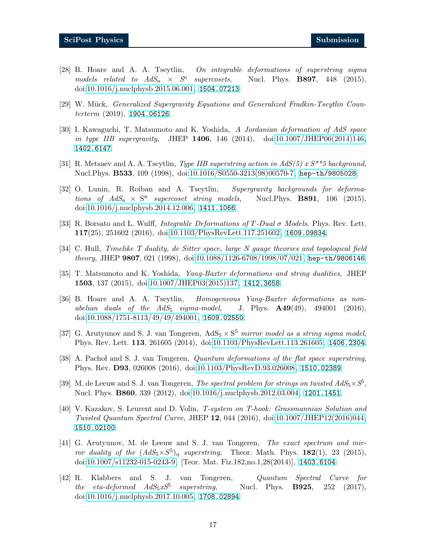- <span id="page-16-0"></span>[28] B. Hoare and A. A. Tseytlin, *On integrable deformations of superstring sigma*  $models$  *related to*  $AdS_n \times S^n$ Nucl. Phys. **B897**, 448 (2015), doi[:10.1016/j.nuclphysb.2015.06.001,](http://dx.doi.org/10.1016/j.nuclphysb.2015.06.001) <1504.07213>.
- <span id="page-16-2"></span><span id="page-16-1"></span>[29] W. Mück, *Generalized Supergravity Equations and Generalized Fradkin-Tseytlin Counterterm* (2019), <1904.06126>.
- [30] I. Kawaguchi, T. Matsumoto and K. Yoshida, *A Jordanian deformation of AdS space in type IIB supergravity*, JHEP 1406, 146 (2014), doi[:10.1007/JHEP06\(2014\)146,](http://dx.doi.org/10.1007/JHEP06(2014)146) <1402.6147>.
- <span id="page-16-4"></span><span id="page-16-3"></span>[31] R. Metsaev and A. A. Tseytlin, *Type IIB superstring action in AdS(5) x S\*\*5 background*, Nucl.Phys. B533, 109 (1998), doi[:10.1016/S0550-3213\(98\)00570-7,](http://dx.doi.org/10.1016/S0550-3213(98)00570-7) <hep-th/9805028>.
- [32] O. Lunin, R. Roiban and A. Tseytlin, *Supergravity backgrounds for deformations of*  $AdS_n \times S^n$ *Nucl.Phys.* **B891**, 106 (2015), doi[:10.1016/j.nuclphysb.2014.12.006,](http://dx.doi.org/10.1016/j.nuclphysb.2014.12.006) <1411.1066>.
- <span id="page-16-6"></span><span id="page-16-5"></span>[33] R. Borsato and L. Wulff, *Integrable Deformations of* T*-Dual* σ *Models*, Phys. Rev. Lett. 117(25), 251602 (2016), doi[:10.1103/PhysRevLett.117.251602,](http://dx.doi.org/10.1103/PhysRevLett.117.251602) <1609.09834>.
- <span id="page-16-7"></span>[34] C. Hull, *Timelike T duality, de Sitter space, large N gauge theories and topological field theory*, JHEP 9807, 021 (1998), doi[:10.1088/1126-6708/1998/07/021,](http://dx.doi.org/10.1088/1126-6708/1998/07/021) <hep-th/9806146>.
- <span id="page-16-8"></span>[35] T. Matsumoto and K. Yoshida, *Yang-Baxter deformations and string dualities*, JHEP 1503, 137 (2015), doi[:10.1007/JHEP03\(2015\)137,](http://dx.doi.org/10.1007/JHEP03(2015)137) <1412.3658>.
- [36] B. Hoare and A. A. Tseytlin, *Homogeneous Yang-Baxter deformations as nonabelian duals of the AdS*<sup>5</sup> *sigma-model*, J. Phys. A49(49), 494001 (2016), doi[:10.1088/1751-8113/49/49/494001,](http://dx.doi.org/10.1088/1751-8113/49/49/494001) <1609.02550>.
- <span id="page-16-9"></span>[37] G. Arutyunov and S. J. van Tongeren,  $AdS_5 \times S^5$  *mirror model as a string sigma model*, Phys. Rev. Lett. 113, 261605 (2014), doi[:10.1103/PhysRevLett.113.261605,](http://dx.doi.org/10.1103/PhysRevLett.113.261605) <1406.2304>.
- <span id="page-16-10"></span>[38] A. Pachol and S. J. van Tongeren, *Quantum deformations of the flat space superstring*, Phys. Rev. D93, 026008 (2016), doi[:10.1103/PhysRevD.93.026008,](http://dx.doi.org/10.1103/PhysRevD.93.026008) <1510.02389>.
- <span id="page-16-11"></span>[39] M. de Leeuw and S. J. van Tongeren, *The spectral problem for strings on twisted*  $AdS_5 \times S^5$ *,* Nucl. Phys. B860, 339 (2012), doi[:10.1016/j.nuclphysb.2012.03.004,](http://dx.doi.org/10.1016/j.nuclphysb.2012.03.004) <1201.1451>.
- <span id="page-16-12"></span>[40] V. Kazakov, S. Leurent and D. Volin, *T-system on T-hook: Grassmannian Solution and Twisted Quantum Spectral Curve*, JHEP 12, 044 (2016), doi[:10.1007/JHEP12\(2016\)044,](http://dx.doi.org/10.1007/JHEP12(2016)044) <1510.02100>.
- <span id="page-16-13"></span>[41] G. Arutyunov, M. de Leeuw and S. J. van Tongeren, *The exact spectrum and mirror duality of the*  $(AdS_5 \times S^5)_{\eta}$  *superstring*, Theor. Math. Phys. **182**(1), 23 (2015), doi[:10.1007/s11232-015-0243-9,](http://dx.doi.org/10.1007/s11232-015-0243-9) [Teor. Mat. Fiz.182,no.1,28(2014)], <1403.6104>.
- <span id="page-16-14"></span>[42] R. Klabbers and S. J. van Tongeren, *Quantum Spectral Curve for the eta-deformed*  $AdS_5xS^5$  *superstring, Nucl. Phys. B925*, 252 (2017), doi[:10.1016/j.nuclphysb.2017.10.005,](http://dx.doi.org/10.1016/j.nuclphysb.2017.10.005) <1708.02894>.